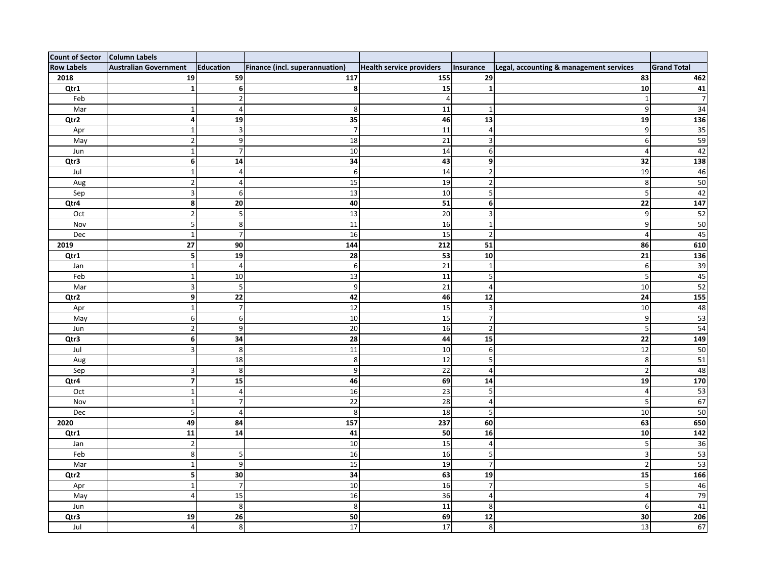| <b>Count of Sector</b> | Column Labels                |                |                                       |                                 |                         |                                         |                    |
|------------------------|------------------------------|----------------|---------------------------------------|---------------------------------|-------------------------|-----------------------------------------|--------------------|
| <b>Row Labels</b>      | <b>Australian Government</b> | Education      | <b>Finance (incl. superannuation)</b> | <b>Health service providers</b> | Insurance               | Legal, accounting & management services | <b>Grand Total</b> |
| 2018                   | 19                           | 59             | 117                                   | 155                             | 29                      | 83                                      | 462                |
| Qtr1                   |                              |                |                                       | 15                              |                         | 10                                      | 41                 |
| Feb                    |                              |                |                                       |                                 |                         |                                         |                    |
| Mar                    |                              |                |                                       | 11                              |                         |                                         | 34                 |
| Qtr2                   |                              | 19             | 35                                    | 46                              | 13                      | 19                                      | 136                |
| Apr                    |                              |                |                                       | 11                              |                         | q                                       | 35                 |
| May                    |                              |                | 18                                    | 21                              | 3                       | 6                                       | 59                 |
| Jun                    |                              |                | 10                                    | 14                              | 6                       |                                         | 42                 |
| Qtr3                   |                              | 14             | 34                                    | 43                              | 9                       | 32                                      | 138                |
| Jul                    |                              |                |                                       | 14                              |                         | 19                                      | 46                 |
| Aug                    |                              |                | 15                                    | 19                              |                         |                                         | 50                 |
| Sep                    |                              |                | 13                                    | 10                              | 5 <sup>1</sup>          |                                         | 42                 |
| Qtr4                   | 8                            | 20             | 40                                    | 51                              | 6                       | 22                                      | 147                |
| Oct                    |                              |                | 13                                    | 20                              | 3                       | q                                       | 52                 |
| Nov                    |                              |                | 11                                    | 16                              |                         | 9                                       | 50                 |
| Dec                    |                              |                | 16                                    | 15                              | $\overline{2}$          |                                         | 45                 |
| 2019                   | 27                           | 90             | 144                                   | 212                             | 51                      | 86                                      | 610                |
| Qtr1                   |                              | 19             | 28                                    | 53                              | 10                      | 21                                      | 136                |
| Jan                    |                              |                | 6                                     | 21                              |                         | 6                                       | 39                 |
| Feb                    |                              | 10             | 13                                    | 11                              | 5                       |                                         | 45                 |
| Mar                    | 3                            |                | q                                     | 21                              | $\overline{a}$          | 10                                      | 52                 |
| Qtr2                   | 9                            | 22             | 42                                    | 46                              | 12                      | 24                                      | 155                |
| Apr                    |                              |                | 12                                    | 15                              | 3                       | 10                                      | 48                 |
| May                    | 6                            |                | 10                                    | 15                              |                         | q                                       | 53                 |
| Jun                    | 2                            |                | 20                                    | 16                              | $\overline{2}$          |                                         | $\overline{54}$    |
| Qtr3                   | 6 <sup>1</sup>               | 34             | 28                                    | 44                              | 15                      | 22                                      | 149                |
| Jul                    |                              |                | 11                                    | 10                              | 6                       | 12                                      | 50                 |
| Aug                    |                              | 18             |                                       | 12                              | 5                       | 8                                       | 51                 |
| Sep                    |                              |                |                                       | 22                              |                         |                                         | 48                 |
| Qtr4                   | $\overline{7}$               | 15             | 46                                    | 69                              | 14                      | 19                                      | 170                |
| Oct                    | 1                            |                | 16                                    | 23                              | $\overline{\mathbf{5}}$ | 4                                       | 53                 |
| Nov                    | $\mathbf{1}$                 |                | 22                                    | 28                              | $\overline{4}$          | 5                                       | 67                 |
| Dec                    | $\overline{\mathbf{5}}$      | 4              | 8 <sup>1</sup>                        | 18                              | 5 <sup>1</sup>          | 10                                      | 50                 |
| 2020                   | 49                           | 84             | 157                                   | 237                             | 60                      | 63                                      | 650                |
| Qtr1                   | 11                           | 14             | 41                                    | 50                              | 16                      | 10                                      | 142                |
| Jan                    | $\overline{2}$               |                | 10                                    | 15                              | $\vert 4 \vert$         | 5                                       | $\overline{36}$    |
| Feb                    | 8                            |                | 16                                    | 16                              | 5 <sup>1</sup>          | 3                                       | 53                 |
| Mar                    | 1                            | q              | 15                                    | 19                              | 7 <sup>1</sup>          | $\overline{2}$                          | $\overline{53}$    |
| Qtr2                   | $\mathsf{5}$                 | 30             | 34                                    | 63                              | 19                      | 15                                      | 166                |
| Apr                    | 1                            | $\overline{ }$ | 10                                    | 16                              | 7 <sup>1</sup>          | 5                                       | 46                 |
| May                    | $\overline{4}$               | 15             | 16                                    | 36                              | $\overline{4}$          | 4                                       | 79                 |
| Jun                    |                              | 8              | 8 <sup>1</sup>                        | 11                              | 8 <sup>1</sup>          | 6                                       | 41                 |
| Qtr3                   | 19                           | 26             | 50                                    | 69                              | 12                      | 30                                      | 206                |
| Jul                    | $\overline{4}$               | 8              | 17                                    | 17                              | 8 <sup>1</sup>          | 13                                      | 67                 |